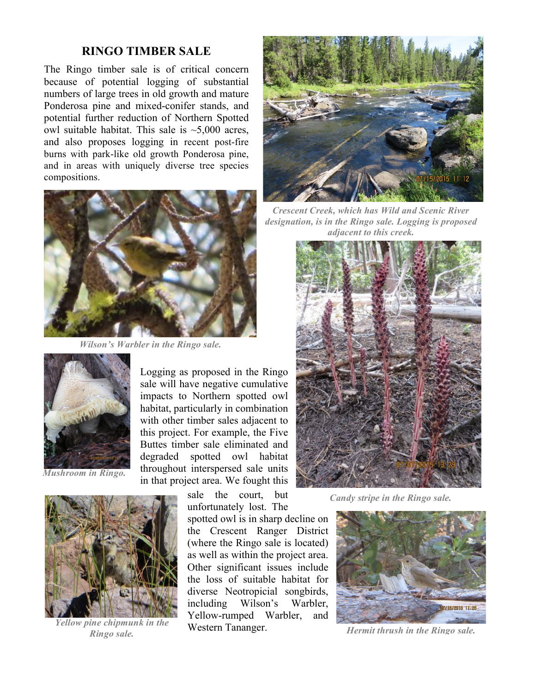## **RINGO TIMBER SALE**

The Ringo timber sale is of critical concern because of potential logging of substantial numbers of large trees in old growth and mature Ponderosa pine and mixed-conifer stands, and potential further reduction of Northern Spotted owl suitable habitat. This sale is  $\sim$ 5,000 acres, and also proposes logging in recent post-fire burns with park-like old growth Ponderosa pine, and in areas with uniquely diverse tree species compositions.



*Wilson's Warbler in the Ringo sale.*



*Mushroom in Ringo.*



*Ringo sale.*

Logging as proposed in the Ringo sale will have negative cumulative impacts to Northern spotted owl habitat, particularly in combination with other timber sales adjacent to this project. For example, the Five Buttes timber sale eliminated and degraded spotted owl habitat throughout interspersed sale units in that project area. We fought this

> sale the court, but unfortunately lost. The

spotted owl is in sharp decline on the Crescent Ranger District (where the Ringo sale is located) as well as within the project area. Other significant issues include the loss of suitable habitat for diverse Neotropicial songbirds, including Wilson's Warbler, Yellow-rumped Warbler, and Western Tananger. *Hellow pine chipmunk in the* **Western Tananger.** *Hermit thrush in the Ringo sale. Hermit thrush in the Ringo sale.* 



*Crescent Creek, which has Wild and Scenic River designation, is in the Ringo sale. Logging is proposed adjacent to this creek.*



*Candy stripe in the Ringo sale.*

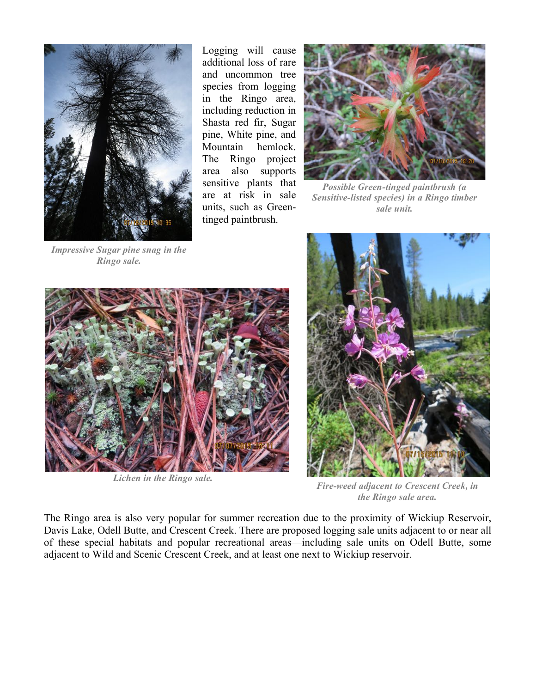

*Ringo sale.*

Logging will cause additional loss of rare and uncommon tree species from logging in the Ringo area, including reduction in Shasta red fir, Sugar pine, White pine, and Mountain hemlock. The Ringo project area also supports sensitive plants that are at risk in sale units, such as Greentinged paintbrush.



*Possible Green-tinged paintbrush (a Sensitive-listed species) in a Ringo timber sale unit.*



*Lichen in the Ringo sale.*



*Fire-weed adjacent to Crescent Creek, in the Ringo sale area.*

The Ringo area is also very popular for summer recreation due to the proximity of Wickiup Reservoir, Davis Lake, Odell Butte, and Crescent Creek. There are proposed logging sale units adjacent to or near all of these special habitats and popular recreational areas—including sale units on Odell Butte, some adjacent to Wild and Scenic Crescent Creek, and at least one next to Wickiup reservoir.